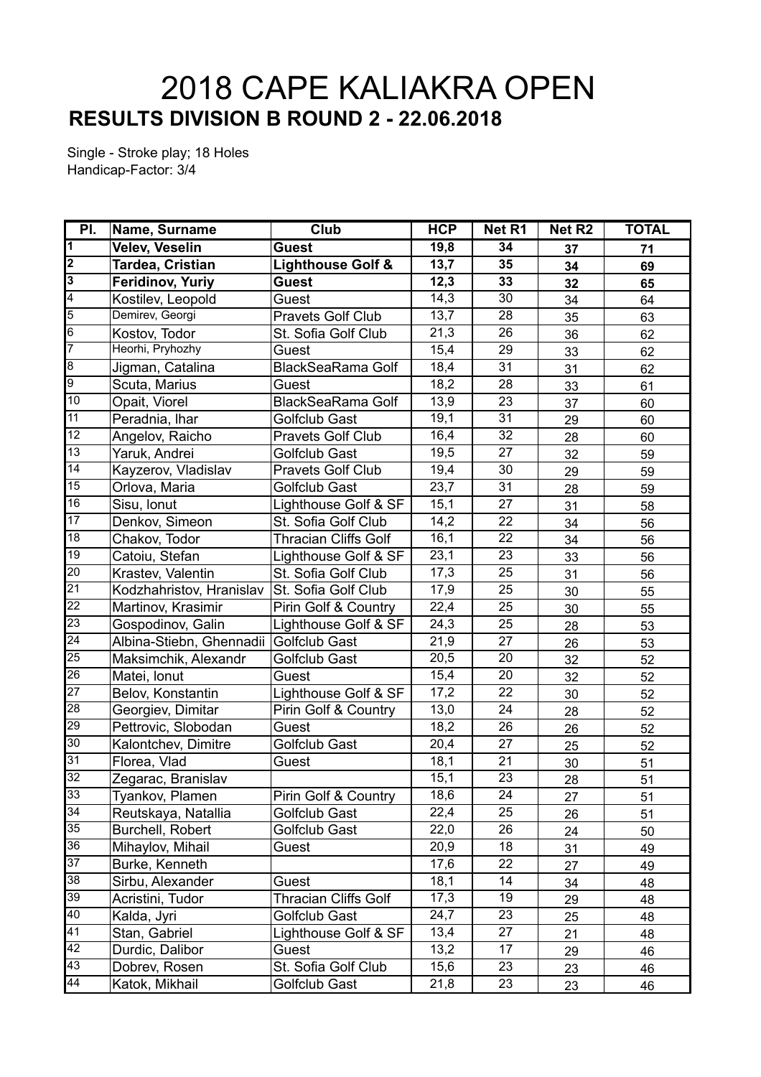## **RESULTS DIVISION B ROUND 2 - 22.06.2018** 2018 CAPE KALIAKRA OPEN

Single - Stroke play; 18 Holes Handicap-Factor: 3/4

| PI.                     | Name, Surname            | Club                         | <b>HCP</b> | Net R1          | Net R <sub>2</sub> | <b>TOTAL</b> |
|-------------------------|--------------------------|------------------------------|------------|-----------------|--------------------|--------------|
| $\overline{1}$          | <b>Velev, Veselin</b>    | <b>Guest</b>                 | 19,8       | 34              | 37                 | 71           |
| $\overline{\mathbf{2}}$ | Tardea, Cristian         | <b>Lighthouse Golf &amp;</b> | 13,7       | 35              | 34                 | 69           |
| $\overline{3}$          | Feridinov, Yuriy         | <b>Guest</b>                 | 12,3       | 33              | 32                 | 65           |
| $\overline{4}$          | Kostilev, Leopold        | Guest                        | 14,3       | 30              | 34                 | 64           |
| $\overline{5}$          | Demirev, Georgi          | Pravets Golf Club            | 13,7       | 28              | 35                 | 63           |
| $6\overline{6}$         | Kostov, Todor            | St. Sofia Golf Club          | 21,3       | 26              | 36                 | 62           |
| 7                       | Heorhi, Pryhozhy         | Guest                        | 15,4       | 29              | 33                 | 62           |
| $\overline{8}$          | Jigman, Catalina         | <b>BlackSeaRama Golf</b>     | 18,4       | 31              | 31                 | 62           |
| $\overline{9}$          | Scuta, Marius            | Guest                        | 18,2       | 28              | 33                 | 61           |
| 10                      | Opait, Viorel            | <b>BlackSeaRama Golf</b>     | 13,9       | 23              | 37                 | 60           |
| 11                      | Peradnia, Ihar           | Golfclub Gast                | 19,1       | 31              | 29                 | 60           |
| $\overline{12}$         | Angelov, Raicho          | <b>Pravets Golf Club</b>     | 16,4       | 32              | 28                 | 60           |
| 13                      | Yaruk, Andrei            | <b>Golfclub Gast</b>         | 19,5       | 27              | 32                 | 59           |
| 14                      | Kayzerov, Vladislav      | <b>Pravets Golf Club</b>     | 19,4       | 30              | 29                 | 59           |
| 15                      | Orlova, Maria            | Golfclub Gast                | 23,7       | 31              | 28                 | 59           |
| 16                      | Sisu, Ionut              | Lighthouse Golf & SF         | 15,1       | 27              | 31                 | 58           |
| 17                      | Denkov, Simeon           | St. Sofia Golf Club          | 14,2       | 22              | 34                 | 56           |
| 18                      | Chakov, Todor            | <b>Thracian Cliffs Golf</b>  | 16,1       | 22              | 34                 | 56           |
| 19                      | Catoiu, Stefan           | Lighthouse Golf & SF         | 23,1       | 23              | 33                 | 56           |
| 20                      | Krastev, Valentin        | St. Sofia Golf Club          | 17,3       | 25              | 31                 | 56           |
| $\overline{21}$         | Kodzhahristov, Hranislav | St. Sofia Golf Club          | 17,9       | 25              | 30                 | 55           |
| $\overline{22}$         | Martinov, Krasimir       | Pirin Golf & Country         | 22,4       | 25              | 30                 | 55           |
| 23                      | Gospodinov, Galin        | Lighthouse Golf & SF         | 24,3       | 25              | 28                 | 53           |
| $\overline{24}$         | Albina-Stiebn, Ghennadii | Golfclub Gast                | 21,9       | 27              | 26                 | 53           |
| 25                      | Maksimchik, Alexandr     | Golfclub Gast                | 20,5       | 20              | 32                 | 52           |
| 26                      | Matei, Ionut             | Guest                        | 15,4       | 20              | 32                 | 52           |
| $\overline{27}$         | Belov, Konstantin        | Lighthouse Golf & SF         | 17,2       | 22              | 30                 | 52           |
| 28                      | Georgiev, Dimitar        | Pirin Golf & Country         | 13,0       | 24              | 28                 | 52           |
| 29                      | Pettrovic, Slobodan      | Guest                        | 18,2       | 26              | 26                 | 52           |
| 30                      | Kalontchev, Dimitre      | Golfclub Gast                | 20,4       | 27              | 25                 | 52           |
| $\overline{31}$         | Florea, Vlad             | Guest                        | 18,1       | $\overline{21}$ | 30                 | 51           |
| $\overline{32}$         | Zegarac, Branislav       |                              | 15,1       | 23              | 28                 | 51           |
| 33                      | Tyankov, Plamen          | Pirin Golf & Country         | 18,6       | 24              | 27                 | 51           |
| 34                      | Reutskaya, Natallia      | Golfclub Gast                | 22,4       | 25              | 26                 | 51           |
| 35                      | Burchell, Robert         | Golfclub Gast                | 22,0       | 26              | 24                 | 50           |
| $\overline{36}$         | Mihaylov, Mihail         | Guest                        | 20,9       | 18              | 31                 | 49           |
| $\overline{37}$         | Burke, Kenneth           |                              | 17,6       | 22              | 27                 | 49           |
| 38                      | Sirbu, Alexander         | Guest                        | 18,1       | 14              | 34                 | 48           |
| $\overline{39}$         | Acristini, Tudor         | <b>Thracian Cliffs Golf</b>  | 17,3       | 19              | 29                 | 48           |
| $\overline{40}$         | Kalda, Jyri              | Golfclub Gast                | 24,7       | 23              | 25                 | 48           |
| 41                      | Stan, Gabriel            | Lighthouse Golf & SF         | 13,4       | 27              | 21                 | 48           |
| 42                      | Durdic, Dalibor          | Guest                        | 13,2       | 17              | 29                 | 46           |
| 43                      | Dobrev, Rosen            | St. Sofia Golf Club          | 15,6       | 23              | 23                 | 46           |
| 44                      | Katok, Mikhail           | Golfclub Gast                | 21,8       | 23              | 23                 | 46           |